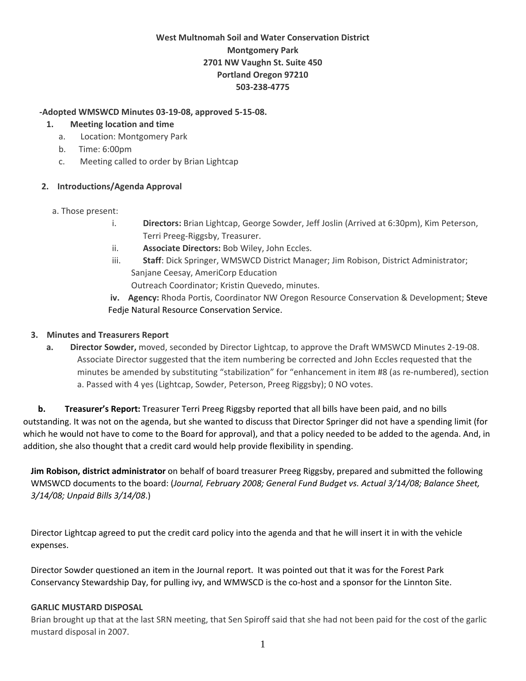# **West Multnomah Soil and Water Conservation District Montgomery Park 2701 NW Vaughn St. Suite 450 Portland Oregon 97210 503‐238‐4775**

#### **‐Adopted WMSWCD Minutes 03‐19‐08, approved 5‐15‐08.**

#### **1. Meeting location and time**

- a. Location: Montgomery Park
- b. Time: 6:00pm
- c. Meeting called to order by Brian Lightcap

### **2. Introductions/Agenda Approval**

- a. Those present:
	- i. **Directors:** Brian Lightcap, George Sowder, Jeff Joslin (Arrived at 6:30pm), Kim Peterson, Terri Preeg‐Riggsby, Treasurer.
	- ii. **Associate Directors:** Bob Wiley, John Eccles.
	- iii. **Staff**: Dick Springer, WMSWCD District Manager; Jim Robison, District Administrator; Sanjane Ceesay, AmeriCorp Education

Outreach Coordinator; Kristin Quevedo, minutes.

**iv. Agency:** Rhoda Portis, Coordinator NW Oregon Resource Conservation & Development; Steve Fedje Natural Resource Conservation Service.

### **3. Minutes and Treasurers Report**

**a. Director Sowder,** moved, seconded by Director Lightcap, to approve the Draft WMSWCD Minutes 2‐19‐08. Associate Director suggested that the item numbering be corrected and John Eccles requested that the minutes be amended by substituting "stabilization" for "enhancement in item #8 (as re‐numbered), section a. Passed with 4 yes (Lightcap, Sowder, Peterson, Preeg Riggsby); 0 NO votes.

 **b. Treasurer's Report:** Treasurer Terri Preeg Riggsby reported that all bills have been paid, and no bills outstanding. It was not on the agenda, but she wanted to discuss that Director Springer did not have a spending limit (for which he would not have to come to the Board for approval), and that a policy needed to be added to the agenda. And, in addition, she also thought that a credit card would help provide flexibility in spending.

**Jim Robison, district administrator** on behalf of board treasurer Preeg Riggsby, prepared and submitted the following WMSWCD documents to the board: (*Journal, February 2008; General Fund Budget vs. Actual 3/14/08; Balance Sheet, 3/14/08; Unpaid Bills 3/14/08*.)

Director Lightcap agreed to put the credit card policy into the agenda and that he will insert it in with the vehicle expenses.

Director Sowder questioned an item in the Journal report. It was pointed out that it was for the Forest Park Conservancy Stewardship Day, for pulling ivy, and WMWSCD is the co-host and a sponsor for the Linnton Site.

### **GARLIC MUSTARD DISPOSAL**

Brian brought up that at the last SRN meeting, that Sen Spiroff said that she had not been paid for the cost of the garlic mustard disposal in 2007.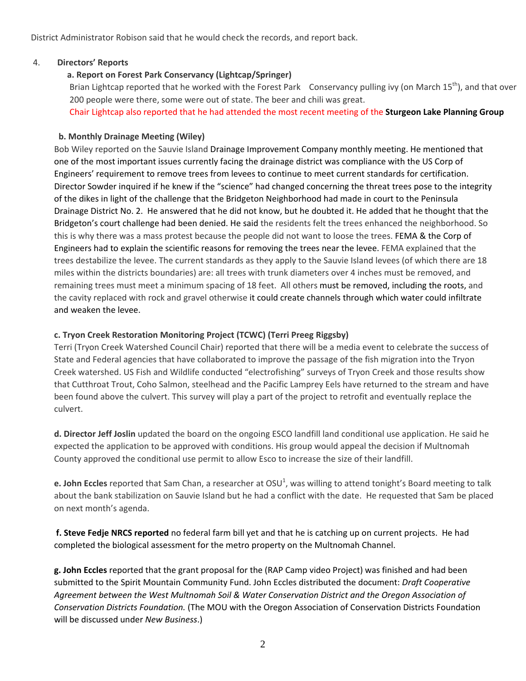District Administrator Robison said that he would check the records, and report back.

#### 4. **Directors' Reports**

## **a. Report on Forest Park Conservancy (Lightcap/Springer)**

Brian Lightcap reported that he worked with the Forest Park Conservancy pulling ivy (on March  $15^{th}$ ), and that over 200 people were there, some were out of state. The beer and chili was great. Chair Lightcap also reported that he had attended the most recent meeting of the **Sturgeon Lake Planning Group**

### **b. Monthly Drainage Meeting (Wiley)**

Bob Wiley reported on the Sauvie Island Drainage Improvement Company monthly meeting. He mentioned that one of the most important issues currently facing the drainage district was compliance with the US Corp of Engineers' requirement to remove trees from levees to continue to meet current standards for certification. Director Sowder inquired if he knew if the "science" had changed concerning the threat trees pose to the integrity of the dikes in light of the challenge that the Bridgeton Neighborhood had made in court to the Peninsula Drainage District No. 2. He answered that he did not know, but he doubted it. He added that he thought that the Bridgeton's court challenge had been denied. He said the residents felt the trees enhanced the neighborhood. So this is why there was a mass protest because the people did not want to loose the trees. FEMA & the Corp of Engineers had to explain the scientific reasons for removing the trees near the levee. FEMA explained that the trees destabilize the levee. The current standards as they apply to the Sauvie Island levees (of which there are 18 miles within the districts boundaries) are: all trees with trunk diameters over 4 inches must be removed, and remaining trees must meet a minimum spacing of 18 feet. All others must be removed, including the roots, and the cavity replaced with rock and gravel otherwise it could create channels through which water could infiltrate and weaken the levee.

## **c. Tryon Creek Restoration Monitoring Project (TCWC) (Terri Preeg Riggsby)**

Terri (Tryon Creek Watershed Council Chair) reported that there will be a media event to celebrate the success of State and Federal agencies that have collaborated to improve the passage of the fish migration into the Tryon Creek watershed. US Fish and Wildlife conducted "electrofishing" surveys of Tryon Creek and those results show that Cutthroat Trout, Coho Salmon, steelhead and the Pacific Lamprey Eels have returned to the stream and have been found above the culvert. This survey will play a part of the project to retrofit and eventually replace the culvert.

**d. Director Jeff Joslin** updated the board on the ongoing ESCO landfill land conditional use application. He said he expected the application to be approved with conditions. His group would appeal the decision if Multnomah County approved the conditional use permit to allow Esco to increase the size of their landfill.

**e. John Eccles** reported that Sam Chan, a researcher at OSU<sup>1</sup>, was willing to attend tonight's Board meeting to talk about the bank stabilization on Sauvie Island but he had a conflict with the date. He requested that Sam be placed on next month's agenda.

**f. Steve Fedje NRCS reported** no federal farm bill yet and that he is catching up on current projects. He had completed the biological assessment for the metro property on the Multnomah Channel.

**g. John Eccles** reported that the grant proposal for the (RAP Camp video Project) was finished and had been submitted to the Spirit Mountain Community Fund. John Eccles distributed the document: *Draft Cooperative Agreement between the West Multnomah Soil & Water Conservation District and the Oregon Association of Conservation Districts Foundation.* (The MOU with the Oregon Association of Conservation Districts Foundation will be discussed under *New Business*.)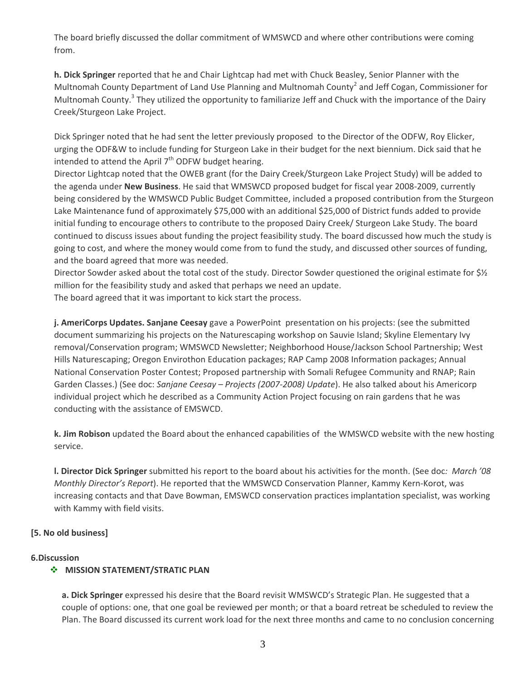The board briefly discussed the dollar commitment of WMSWCD and where other contributions were coming from.

**h. Dick Springer** reported that he and Chair Lightcap had met with Chuck Beasley, Senior Planner with the Multnomah County Department of Land Use Planning and Multnomah County<sup>2</sup> and Jeff Cogan, Commissioner for Multnomah County.<sup>3</sup> They utilized the opportunity to familiarize Jeff and Chuck with the importance of the Dairy Creek/Sturgeon Lake Project.

Dick Springer noted that he had sent the letter previously proposed to the Director of the ODFW, Roy Elicker, urging the ODF&W to include funding for Sturgeon Lake in their budget for the next biennium. Dick said that he intended to attend the April  $7<sup>th</sup>$  ODFW budget hearing.

Director Lightcap noted that the OWEB grant (for the Dairy Creek/Sturgeon Lake Project Study) will be added to the agenda under **New Business**. He said that WMSWCD proposed budget for fiscal year 2008‐2009, currently being considered by the WMSWCD Public Budget Committee, included a proposed contribution from the Sturgeon Lake Maintenance fund of approximately \$75,000 with an additional \$25,000 of District funds added to provide initial funding to encourage others to contribute to the proposed Dairy Creek/ Sturgeon Lake Study. The board continued to discuss issues about funding the project feasibility study. The board discussed how much the study is going to cost, and where the money would come from to fund the study, and discussed other sources of funding, and the board agreed that more was needed.

Director Sowder asked about the total cost of the study. Director Sowder questioned the original estimate for \$½ million for the feasibility study and asked that perhaps we need an update.

The board agreed that it was important to kick start the process.

**j. AmeriCorps Updates. Sanjane Ceesay** gave a PowerPoint presentation on his projects: (see the submitted document summarizing his projects on the Naturescaping workshop on Sauvie Island; Skyline Elementary Ivy removal/Conservation program; WMSWCD Newsletter; Neighborhood House/Jackson School Partnership; West Hills Naturescaping; Oregon Envirothon Education packages; RAP Camp 2008 Information packages; Annual National Conservation Poster Contest; Proposed partnership with Somali Refugee Community and RNAP; Rain Garden Classes.) (See doc: *Sanjane Ceesay – Projects (2007‐2008) Update*). He also talked about his Americorp individual project which he described as a Community Action Project focusing on rain gardens that he was conducting with the assistance of EMSWCD.

**k. Jim Robison** updated the Board about the enhanced capabilities of the WMSWCD website with the new hosting service.

**l. Director Dick Springer** submitted his report to the board about his activities for the month. (See doc*: March '08 Monthly Director's Report*). He reported that the WMSWCD Conservation Planner, Kammy Kern‐Korot, was increasing contacts and that Dave Bowman, EMSWCD conservation practices implantation specialist, was working with Kammy with field visits.

### **[5. No old business]**

#### **6.Discussion**

### **MISSION STATEMENT/STRATIC PLAN**

**a. Dick Springer** expressed his desire that the Board revisit WMSWCD's Strategic Plan. He suggested that a couple of options: one, that one goal be reviewed per month; or that a board retreat be scheduled to review the Plan. The Board discussed its current work load for the next three months and came to no conclusion concerning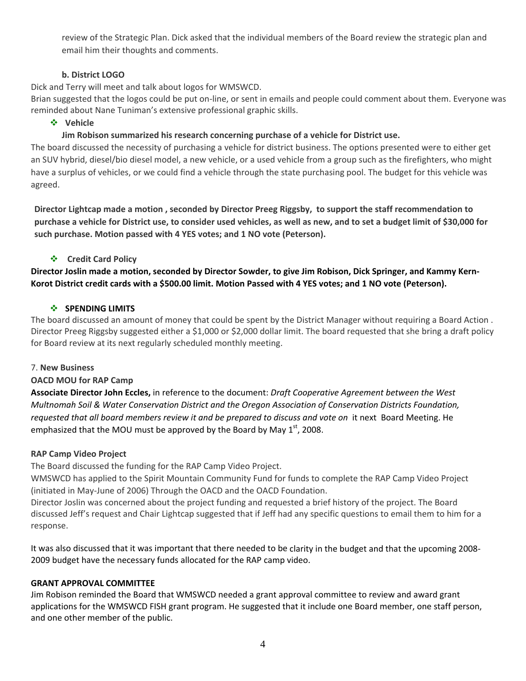review of the Strategic Plan. Dick asked that the individual members of the Board review the strategic plan and email him their thoughts and comments.

### **b. District LOGO**

Dick and Terry will meet and talk about logos for WMSWCD.

Brian suggested that the logos could be put on‐line, or sent in emails and people could comment about them. Everyone was reminded about Nane Tuniman's extensive professional graphic skills.

**Vehicle** 

**Jim Robison summarized his research concerning purchase of a vehicle for District use.**

The board discussed the necessity of purchasing a vehicle for district business. The options presented were to either get an SUV hybrid, diesel/bio diesel model, a new vehicle, or a used vehicle from a group such as the firefighters, who might have a surplus of vehicles, or we could find a vehicle through the state purchasing pool. The budget for this vehicle was agreed.

Director Lightcap made a motion, seconded by Director Preeg Riggsby, to support the staff recommendation to purchase a vehicle for District use, to consider used vehicles, as well as new, and to set a budget limit of \$30,000 for **such purchase. Motion passed with 4 YES votes; and 1 NO vote (Peterson).**

### **Credit Card Policy**

Director Joslin made a motion, seconded by Director Sowder, to give Jim Robison, Dick Springer, and Kammy Kern-Korot District credit cards with a \$500.00 limit. Motion Passed with 4 YES votes; and 1 NO vote (Peterson).

### **SPENDING LIMITS**

The board discussed an amount of money that could be spent by the District Manager without requiring a Board Action . Director Preeg Riggsby suggested either a \$1,000 or \$2,000 dollar limit. The board requested that she bring a draft policy for Board review at its next regularly scheduled monthly meeting.

### 7. **New Business**

### **OACD MOU for RAP Camp**

**Associate Director John Eccles,** in reference to the document: *Draft Cooperative Agreement between the West Multnomah Soil & Water Conservation District and the Oregon Association of Conservation Districts Foundation, requested that all board members review it and be prepared to discuss and vote on* it next Board Meeting. He emphasized that the MOU must be approved by the Board by May  $1<sup>st</sup>$ , 2008.

#### **RAP Camp Video Project**

The Board discussed the funding for the RAP Camp Video Project.

WMSWCD has applied to the Spirit Mountain Community Fund for funds to complete the RAP Camp Video Project (initiated in May‐June of 2006) Through the OACD and the OACD Foundation.

Director Joslin was concerned about the project funding and requested a brief history of the project. The Board discussed Jeff's request and Chair Lightcap suggested that if Jeff had any specific questions to email them to him for a response.

It was also discussed that it was important that there needed to be clarity in the budget and that the upcoming 2008‐ 2009 budget have the necessary funds allocated for the RAP camp video.

#### **GRANT APPROVAL COMMITTEE**

Jim Robison reminded the Board that WMSWCD needed a grant approval committee to review and award grant applications for the WMSWCD FISH grant program. He suggested that it include one Board member, one staff person, and one other member of the public.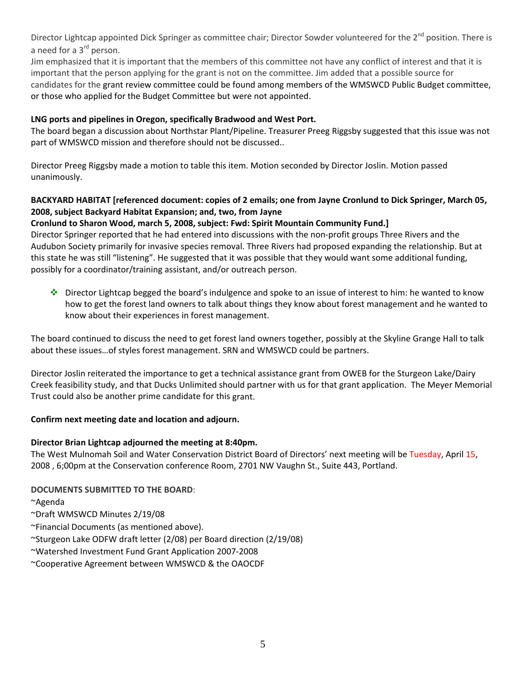Director Lightcap appointed Dick Springer as committee chair; Director Sowder volunteered for the 2<sup>nd</sup> position. There is a need for a 3<sup>rd</sup> person.

Jim emphasized that it is important that the members of this committee not have any conflict of interest and that it is important that the person applying for the grant is not on the committee. Jim added that a possible source for candidates for the grant review committee could be found among members of the WMSWCD Public Budget committee, or those who applied for the Budget Committee but were not appointed.

### **LNG ports and pipelines in Oregon, specifically Bradwood and West Port.**

The board began a discussion about Northstar Plant/Pipeline. Treasurer Preeg Riggsby suggested that this issue was not part of WMSWCD mission and therefore should not be discussed..

Director Preeg Riggsby made a motion to table this item. Motion seconded by Director Joslin. Motion passed unanimously.

## BACKYARD HABITAT [referenced document: copies of 2 emails; one from Jayne Cronlund to Dick Springer, March 05, **2008, subject Backyard Habitat Expansion; and, two, from Jayne**

## **Cronlund to Sharon Wood, march 5, 2008, subject: Fwd: Spirit Mountain Community Fund.]**

Director Springer reported that he had entered into discussions with the non‐profit groups Three Rivers and the Audubon Society primarily for invasive species removal. Three Rivers had proposed expanding the relationship. But at this state he was still "listening". He suggested that it was possible that they would want some additional funding, possibly for a coordinator/training assistant, and/or outreach person.

 $\cdot \cdot$  Director Lightcap begged the board's indulgence and spoke to an issue of interest to him: he wanted to know how to get the forest land owners to talk about things they know about forest management and he wanted to know about their experiences in forest management.

The board continued to discuss the need to get forest land owners together, possibly at the Skyline Grange Hall to talk about these issues…of styles forest management. SRN and WMSWCD could be partners.

Director Joslin reiterated the importance to get a technical assistance grant from OWEB for the Sturgeon Lake/Dairy Creek feasibility study, and that Ducks Unlimited should partner with us for that grant application. The Meyer Memorial Trust could also be another prime candidate for this grant.

### **Confirm next meeting date and location and adjourn.**

### **Director Brian Lightcap adjourned the meeting at 8:40pm.**

The West Mulnomah Soil and Water Conservation District Board of Directors' next meeting will be Tuesday, April 15, 2008 , 6;00pm at the Conservation conference Room, 2701 NW Vaughn St., Suite 443, Portland.

# **DOCUMENTS SUBMITTED TO THE BOARD**:

~Agenda

- ~Draft WMSWCD Minutes 2/19/08
- ~Financial Documents (as mentioned above).
- ~Sturgeon Lake ODFW draft letter (2/08) per Board direction (2/19/08)
- ~Watershed Investment Fund Grant Application 2007‐2008
- ~Cooperative Agreement between WMSWCD & the OAOCDF